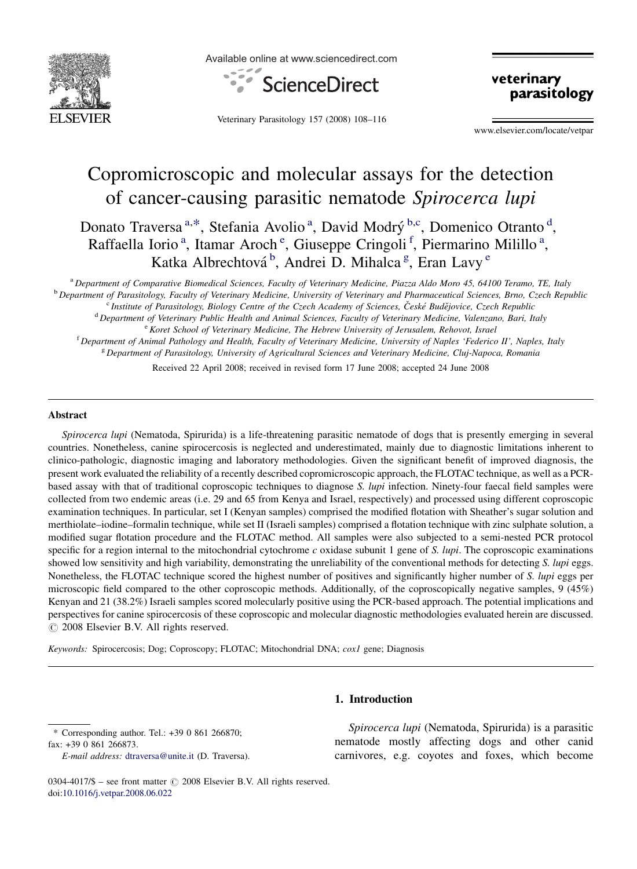

Available online at www.sciencedirect.com



Veterinary Parasitology 157 (2008) 108–116

veterinary parasitology

www.elsevier.com/locate/vetpar

# Copromicroscopic and molecular assays for the detection of cancer-causing parasitic nematode Spirocerca lupi

Donato Traversa<sup>a,\*</sup>, Stefania Avolio<sup>a</sup>, David Modrý<sup>b,c</sup>, Domenico Otranto<sup>d</sup>, Raffaella Iorio<sup>a</sup>, Itamar Aroch<sup>e</sup>, Giuseppe Cringoli<sup>f</sup>, Piermarino Milillo<sup>a</sup>, Katka Albrechtová<sup>b</sup>, Andrei D. Mihalca<sup>g</sup>, Eran Lavy<sup>e</sup>

<sup>a</sup> Department of Comparative Biomedical Sciences, Faculty of Veterinary Medicine, Piazza Aldo Moro 45, 64100 Teramo, TE, Italy <sup>b</sup> Department of Parasitology, Faculty of Veterinary Medicine, University of Veterinary and Pharmaceutical Sciences, Brno, Czech Republic <sup>c</sup> Institute of Parasitology, Biology Centre of the Czech Academy of Sciences, České Budějovice, Czech Republic <sup>d</sup> Department of Veterinary Public Health and Animal Sciences, Faculty of Veterinary Medicine, Valenzano, Bari, Italy <sup>e</sup> Koret School of Veterinary Medicine, The Hebrew University of Jerusalem, Rehovot, Israel <sup>f</sup> Department of Animal Pathology and Health, Faculty of Veterinary Medicine, University of Naples 'Federico II', Naples, Italy <sup>g</sup> Department of Parasitology, University of Agricultural Sciences and Veterinary Medicine, Cluj-Napoca, Romania

Received 22 April 2008; received in revised form 17 June 2008; accepted 24 June 2008

## Abstract

Spirocerca lupi (Nematoda, Spirurida) is a life-threatening parasitic nematode of dogs that is presently emerging in several countries. Nonetheless, canine spirocercosis is neglected and underestimated, mainly due to diagnostic limitations inherent to clinico-pathologic, diagnostic imaging and laboratory methodologies. Given the significant benefit of improved diagnosis, the present work evaluated the reliability of a recently described copromicroscopic approach, the FLOTAC technique, as well as a PCRbased assay with that of traditional coproscopic techniques to diagnose S. lupi infection. Ninety-four faecal field samples were collected from two endemic areas (i.e. 29 and 65 from Kenya and Israel, respectively) and processed using different coproscopic examination techniques. In particular, set I (Kenyan samples) comprised the modified flotation with Sheather's sugar solution and merthiolate–iodine–formalin technique, while set II (Israeli samples) comprised a flotation technique with zinc sulphate solution, a modified sugar flotation procedure and the FLOTAC method. All samples were also subjected to a semi-nested PCR protocol specific for a region internal to the mitochondrial cytochrome c oxidase subunit 1 gene of S. *lupi*. The coproscopic examinations showed low sensitivity and high variability, demonstrating the unreliability of the conventional methods for detecting S. lupi eggs. Nonetheless, the FLOTAC technique scored the highest number of positives and significantly higher number of S. *lupi* eggs per microscopic field compared to the other coproscopic methods. Additionally, of the coproscopically negative samples, 9 (45%) Kenyan and 21 (38.2%) Israeli samples scored molecularly positive using the PCR-based approach. The potential implications and perspectives for canine spirocercosis of these coproscopic and molecular diagnostic methodologies evaluated herein are discussed.  $\odot$  2008 Elsevier B.V. All rights reserved.

Keywords: Spirocercosis; Dog; Coproscopy; FLOTAC; Mitochondrial DNA; cox1 gene; Diagnosis

# 1. Introduction

\* Corresponding author. Tel.: +39 0 861 266870; fax: +39 0 861 266873.

Spirocerca lupi (Nematoda, Spirurida) is a parasitic nematode mostly affecting dogs and other canid carnivores, e.g. coyotes and foxes, which become

E-mail address: [dtraversa@unite.it](mailto:dtraversa@unite.it) (D. Traversa).

<sup>0304-4017/\$ –</sup> see front matter  $\odot$  2008 Elsevier B.V. All rights reserved. doi:[10.1016/j.vetpar.2008.06.022](http://dx.doi.org/10.1016/j.vetpar.2008.06.022)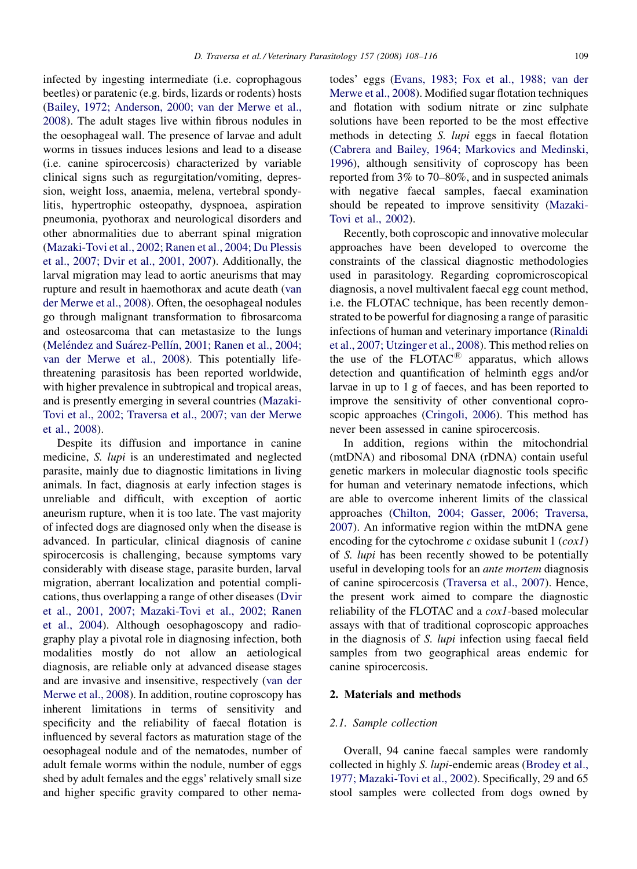infected by ingesting intermediate (i.e. coprophagous beetles) or paratenic (e.g. birds, lizards or rodents) hosts [\(Bailey, 1972; Anderson, 2000; van der Merwe et al.,](#page-8-0) [2008\)](#page-8-0). The adult stages live within fibrous nodules in the oesophageal wall. The presence of larvae and adult worms in tissues induces lesions and lead to a disease (i.e. canine spirocercosis) characterized by variable clinical signs such as regurgitation/vomiting, depression, weight loss, anaemia, melena, vertebral spondylitis, hypertrophic osteopathy, dyspnoea, aspiration pneumonia, pyothorax and neurological disorders and other abnormalities due to aberrant spinal migration [\(Mazaki-Tovi et al., 2002; Ranen et al., 2004; Du Plessis](#page-8-0) [et al., 2007; Dvir et al., 2001, 2007](#page-8-0)). Additionally, the larval migration may lead to aortic aneurisms that may rupture and result in haemothorax and acute death ([van](#page-8-0) [der Merwe et al., 2008\)](#page-8-0). Often, the oesophageal nodules go through malignant transformation to fibrosarcoma and osteosarcoma that can metastasize to the lungs (Meléndez and Suárez-Pellín, 2001; Ranen et al., 2004; [van der Merwe et al., 2008\)](#page-8-0). This potentially lifethreatening parasitosis has been reported worldwide, with higher prevalence in subtropical and tropical areas, and is presently emerging in several countries ([Mazaki-](#page-8-0)[Tovi et al., 2002; Traversa et al., 2007; van der Merwe](#page-8-0) [et al., 2008\)](#page-8-0).

Despite its diffusion and importance in canine medicine, S. lupi is an underestimated and neglected parasite, mainly due to diagnostic limitations in living animals. In fact, diagnosis at early infection stages is unreliable and difficult, with exception of aortic aneurism rupture, when it is too late. The vast majority of infected dogs are diagnosed only when the disease is advanced. In particular, clinical diagnosis of canine spirocercosis is challenging, because symptoms vary considerably with disease stage, parasite burden, larval migration, aberrant localization and potential complications, thus overlapping a range of other diseases ([Dvir](#page-8-0) [et al., 2001, 2007; Mazaki-Tovi et al., 2002; Ranen](#page-8-0) [et al., 2004\)](#page-8-0). Although oesophagoscopy and radiography play a pivotal role in diagnosing infection, both modalities mostly do not allow an aetiological diagnosis, are reliable only at advanced disease stages and are invasive and insensitive, respectively ([van der](#page-8-0) [Merwe et al., 2008\)](#page-8-0). In addition, routine coproscopy has inherent limitations in terms of sensitivity and specificity and the reliability of faecal flotation is influenced by several factors as maturation stage of the oesophageal nodule and of the nematodes, number of adult female worms within the nodule, number of eggs shed by adult females and the eggs' relatively small size and higher specific gravity compared to other nematodes' eggs [\(Evans, 1983; Fox et al., 1988; van der](#page-8-0) [Merwe et al., 2008](#page-8-0)). Modified sugar flotation techniques and flotation with sodium nitrate or zinc sulphate solutions have been reported to be the most effective methods in detecting S. lupi eggs in faecal flotation [\(Cabrera and Bailey, 1964; Markovics and Medinski,](#page-8-0) [1996\)](#page-8-0), although sensitivity of coproscopy has been reported from 3% to 70–80%, and in suspected animals with negative faecal samples, faecal examination should be repeated to improve sensitivity ([Mazaki-](#page-8-0)[Tovi et al., 2002\)](#page-8-0).

Recently, both coproscopic and innovative molecular approaches have been developed to overcome the constraints of the classical diagnostic methodologies used in parasitology. Regarding copromicroscopical diagnosis, a novel multivalent faecal egg count method, i.e. the FLOTAC technique, has been recently demonstrated to be powerful for diagnosing a range of parasitic infections of human and veterinary importance ([Rinaldi](#page-8-0) [et al., 2007; Utzinger et al., 2008](#page-8-0)). This method relies on the use of the FLOTAC<sup>®</sup> apparatus, which allows detection and quantification of helminth eggs and/or larvae in up to 1 g of faeces, and has been reported to improve the sensitivity of other conventional coproscopic approaches ([Cringoli, 2006\)](#page-8-0). This method has never been assessed in canine spirocercosis.

In addition, regions within the mitochondrial (mtDNA) and ribosomal DNA (rDNA) contain useful genetic markers in molecular diagnostic tools specific for human and veterinary nematode infections, which are able to overcome inherent limits of the classical approaches ([Chilton, 2004; Gasser, 2006; Traversa,](#page-8-0) [2007\)](#page-8-0). An informative region within the mtDNA gene encoding for the cytochrome  $c$  oxidase subunit 1 ( $cox1$ ) of S. lupi has been recently showed to be potentially useful in developing tools for an ante mortem diagnosis of canine spirocercosis ([Traversa et al., 2007\)](#page-8-0). Hence, the present work aimed to compare the diagnostic reliability of the FLOTAC and a cox1-based molecular assays with that of traditional coproscopic approaches in the diagnosis of S. lupi infection using faecal field samples from two geographical areas endemic for canine spirocercosis.

## 2. Materials and methods

#### 2.1. Sample collection

Overall, 94 canine faecal samples were randomly collected in highly S. lupi-endemic areas ([Brodey et al.,](#page-8-0) [1977; Mazaki-Tovi et al., 2002\)](#page-8-0). Specifically, 29 and 65 stool samples were collected from dogs owned by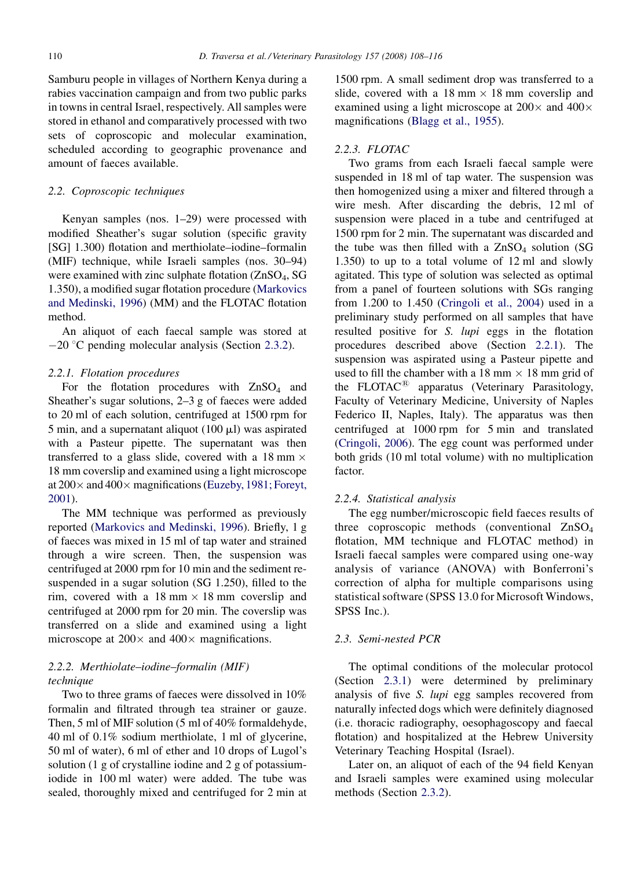Samburu people in villages of Northern Kenya during a rabies vaccination campaign and from two public parks in towns in central Israel, respectively. All samples were stored in ethanol and comparatively processed with two sets of coproscopic and molecular examination, scheduled according to geographic provenance and amount of faeces available.

## 2.2. Coproscopic techniques

Kenyan samples (nos. 1–29) were processed with modified Sheather's sugar solution (specific gravity [SG] 1.300) flotation and merthiolate–iodine–formalin (MIF) technique, while Israeli samples (nos. 30–94) were examined with zinc sulphate flotation (ZnSO<sub>4</sub>, SG 1.350), a modified sugar flotation procedure ([Markovics](#page-8-0) [and Medinski, 1996\)](#page-8-0) (MM) and the FLOTAC flotation method.

An aliquot of each faecal sample was stored at  $-20$  °C pending molecular analysis (Section [2.3.2](#page-3-0)).

## 2.2.1. Flotation procedures

For the flotation procedures with  $ZnSO<sub>4</sub>$  and Sheather's sugar solutions, 2–3 g of faeces were added to 20 ml of each solution, centrifuged at 1500 rpm for 5 min, and a supernatant aliquot (100  $\mu$ l) was aspirated with a Pasteur pipette. The supernatant was then transferred to a glass slide, covered with a 18 mm  $\times$ 18 mm coverslip and examined using a light microscope at  $200 \times$  and  $400 \times$  magnifications [\(Euzeby, 1981; Foreyt,](#page-8-0) [2001\)](#page-8-0).

The MM technique was performed as previously reported [\(Markovics and Medinski, 1996\)](#page-8-0). Briefly, 1 g of faeces was mixed in 15 ml of tap water and strained through a wire screen. Then, the suspension was centrifuged at 2000 rpm for 10 min and the sediment resuspended in a sugar solution (SG 1.250), filled to the rim, covered with a  $18 \text{ mm} \times 18 \text{ mm}$  coverslip and centrifuged at 2000 rpm for 20 min. The coverslip was transferred on a slide and examined using a light microscope at  $200 \times$  and  $400 \times$  magnifications.

# 2.2.2. Merthiolate–iodine–formalin (MIF) technique

Two to three grams of faeces were dissolved in 10% formalin and filtrated through tea strainer or gauze. Then, 5 ml of MIF solution (5 ml of 40% formaldehyde, 40 ml of 0.1% sodium merthiolate, 1 ml of glycerine, 50 ml of water), 6 ml of ether and 10 drops of Lugol's solution (1 g of crystalline iodine and 2 g of potassiumiodide in 100 ml water) were added. The tube was sealed, thoroughly mixed and centrifuged for 2 min at 1500 rpm. A small sediment drop was transferred to a slide, covered with a  $18 \text{ mm} \times 18 \text{ mm}$  coverslip and examined using a light microscope at  $200 \times$  and  $400 \times$ magnifications ([Blagg et al., 1955](#page-8-0)).

## 2.2.3. FLOTAC

Two grams from each Israeli faecal sample were suspended in 18 ml of tap water. The suspension was then homogenized using a mixer and filtered through a wire mesh. After discarding the debris, 12 ml of suspension were placed in a tube and centrifuged at 1500 rpm for 2 min. The supernatant was discarded and the tube was then filled with a  $ZnSO<sub>4</sub>$  solution (SG 1.350) to up to a total volume of 12 ml and slowly agitated. This type of solution was selected as optimal from a panel of fourteen solutions with SGs ranging from  $1.200$  to  $1.450$  (Cringoli et al.,  $2004$ ) used in a preliminary study performed on all samples that have resulted positive for S. lupi eggs in the flotation procedures described above (Section 2.2.1). The suspension was aspirated using a Pasteur pipette and used to fill the chamber with a 18 mm  $\times$  18 mm grid of the FLOTAC $^{\circledR}$  apparatus (Veterinary Parasitology, Faculty of Veterinary Medicine, University of Naples Federico II, Naples, Italy). The apparatus was then centrifuged at 1000 rpm for 5 min and translated ([Cringoli, 2006\)](#page-8-0). The egg count was performed under both grids (10 ml total volume) with no multiplication factor.

## 2.2.4. Statistical analysis

The egg number/microscopic field faeces results of three coproscopic methods (conventional  $ZnSO<sub>4</sub>$ ) flotation, MM technique and FLOTAC method) in Israeli faecal samples were compared using one-way analysis of variance (ANOVA) with Bonferroni's correction of alpha for multiple comparisons using statistical software (SPSS 13.0 for Microsoft Windows, SPSS Inc.).

## 2.3. Semi-nested PCR

The optimal conditions of the molecular protocol (Section [2.3.1](#page-3-0)) were determined by preliminary analysis of five S. lupi egg samples recovered from naturally infected dogs which were definitely diagnosed (i.e. thoracic radiography, oesophagoscopy and faecal flotation) and hospitalized at the Hebrew University Veterinary Teaching Hospital (Israel).

Later on, an aliquot of each of the 94 field Kenyan and Israeli samples were examined using molecular methods (Section [2.3.2](#page-3-0)).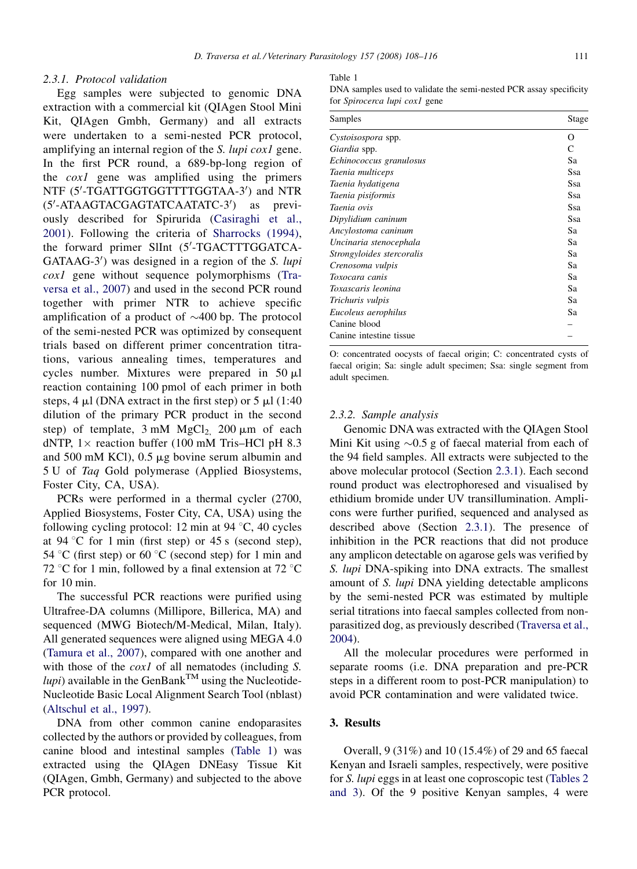## <span id="page-3-0"></span>2.3.1. Protocol validation

Egg samples were subjected to genomic DNA extraction with a commercial kit (QIAgen Stool Mini Kit, QIAgen Gmbh, Germany) and all extracts were undertaken to a semi-nested PCR protocol, amplifying an internal region of the *S. lupi cox1* gene. In the first PCR round, a 689-bp-long region of the cox1 gene was amplified using the primers NTF (5'-TGATTGGTGGTTTTGGTAA-3') and NTR (5'-ATAAGTACGAGTATCAATATC-3') as previously described for Spirurida ([Casiraghi et al.,](#page-8-0) [2001](#page-8-0)). Following the criteria of [Sharrocks \(1994\),](#page-8-0) the forward primer SlInt (5'-TGACTTTGGATCA-GATAAG-3') was designed in a region of the S. lupi cox1 gene without sequence polymorphisms ([Tra](#page-8-0)[versa et al., 2007](#page-8-0)) and used in the second PCR round together with primer NTR to achieve specific amplification of a product of  $\sim$ 400 bp. The protocol of the semi-nested PCR was optimized by consequent trials based on different primer concentration titrations, various annealing times, temperatures and cycles number. Mixtures were prepared in  $50 \mu l$ reaction containing 100 pmol of each primer in both steps, 4  $\mu$ l (DNA extract in the first step) or 5  $\mu$ l (1:40 dilution of the primary PCR product in the second step) of template,  $3 \text{ mM } MgCl<sub>2</sub>$ ,  $200 \mu \text{m}$  of each dNTP,  $1 \times$  reaction buffer (100 mM Tris–HCl pH 8.3) and 500 mM KCl),  $0.5 \mu$ g bovine serum albumin and 5 U of Taq Gold polymerase (Applied Biosystems, Foster City, CA, USA).

PCRs were performed in a thermal cycler (2700, Applied Biosystems, Foster City, CA, USA) using the following cycling protocol: 12 min at 94  $\degree$ C, 40 cycles at 94 °C for 1 min (first step) or 45 s (second step), 54 °C (first step) or 60 °C (second step) for 1 min and 72 °C for 1 min, followed by a final extension at 72 °C for 10 min.

The successful PCR reactions were purified using Ultrafree-DA columns (Millipore, Billerica, MA) and sequenced (MWG Biotech/M-Medical, Milan, Italy). All generated sequences were aligned using MEGA 4.0 [\(Tamura et al., 2007\)](#page-8-0), compared with one another and with those of the *cox1* of all nematodes (including S.  $lupi)$  available in the GenBank<sup>TM</sup> using the Nucleotide-Nucleotide Basic Local Alignment Search Tool (nblast) [\(Altschul et al., 1997\)](#page-7-0).

DNA from other common canine endoparasites collected by the authors or provided by colleagues, from canine blood and intestinal samples (Table 1) was extracted using the QIAgen DNEasy Tissue Kit (QIAgen, Gmbh, Germany) and subjected to the above PCR protocol.

#### Table 1

DNA samples used to validate the semi-nested PCR assay specificity for Spirocerca lupi cox1 gene

| Samples                   | Stage |
|---------------------------|-------|
| Cystoisospora spp.        | O     |
| Giardia spp.              | C     |
| Echinococcus granulosus   | Sa    |
| Taenia multiceps          | Ssa   |
| Taenia hydatigena         | Ssa   |
| Taenia pisiformis         | Ssa   |
| Taenia ovis               | Ssa   |
| Dipylidium caninum        | Ssa   |
| Ancylostoma caninum       | Sa    |
| Uncinaria stenocephala    | Sa    |
| Strongyloides stercoralis | Sa    |
| Crenosoma vulpis          | Sa    |
| Toxocara canis            | Sa    |
| Toxascaris leonina        | Sa    |
| Trichuris vulpis          | Sa    |
| Eucoleus aerophilus       | Sa    |
| Canine blood              |       |
| Canine intestine tissue   |       |

O: concentrated oocysts of faecal origin; C: concentrated cysts of faecal origin; Sa: single adult specimen; Ssa: single segment from adult specimen.

#### 2.3.2. Sample analysis

Genomic DNA was extracted with the QIAgen Stool Mini Kit using  $\sim 0.5$  g of faecal material from each of the 94 field samples. All extracts were subjected to the above molecular protocol (Section 2.3.1). Each second round product was electrophoresed and visualised by ethidium bromide under UV transillumination. Amplicons were further purified, sequenced and analysed as described above (Section 2.3.1). The presence of inhibition in the PCR reactions that did not produce any amplicon detectable on agarose gels was verified by S. lupi DNA-spiking into DNA extracts. The smallest amount of S. lupi DNA yielding detectable amplicons by the semi-nested PCR was estimated by multiple serial titrations into faecal samples collected from nonparasitized dog, as previously described ([Traversa et al.,](#page-8-0) [2004\)](#page-8-0).

All the molecular procedures were performed in separate rooms (i.e. DNA preparation and pre-PCR steps in a different room to post-PCR manipulation) to avoid PCR contamination and were validated twice.

#### 3. Results

Overall, 9 (31%) and 10 (15.4%) of 29 and 65 faecal Kenyan and Israeli samples, respectively, were positive for S. lupi eggs in at least one coproscopic test ([Tables 2](#page-4-0) [and 3\)](#page-4-0). Of the 9 positive Kenyan samples, 4 were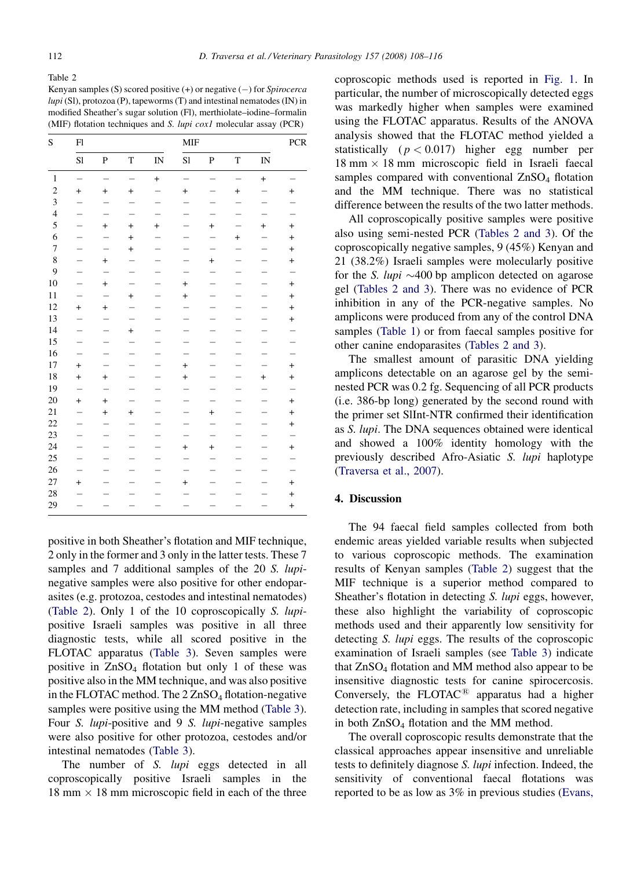<span id="page-4-0"></span>Table 2

Kenyan samples (S) scored positive  $(+)$  or negative  $(-)$  for *Spirocerca*  $lupi$  (Sl), protozoa (P), tapeworms (T) and intestinal nematodes (IN) in modified Sheather's sugar solution (Fl), merthiolate–iodine–formalin (MIF) flotation techniques and S. lupi cox1 molecular assay (PCR)

| S              | F1                               |                                  |                |                        | <b>MIF</b>                       |                                  |                          |                          | PCR                      |
|----------------|----------------------------------|----------------------------------|----------------|------------------------|----------------------------------|----------------------------------|--------------------------|--------------------------|--------------------------|
|                | S1                               | $\mathbf{P}$                     | T              | $\mathbb{I}\mathbb{N}$ | S1                               | $\mathbf{P}$                     | T                        | IN                       |                          |
| $\mathbf{1}$   | $\overline{a}$                   | $\overline{a}$                   | $\overline{a}$ | $\ddot{}$              |                                  |                                  | $\overline{a}$           | $\ddot{}$                |                          |
| $\sqrt{2}$     | $^{+}$                           | $\begin{array}{c} + \end{array}$ | $\ddot{}$      |                        | $\begin{array}{c} + \end{array}$ |                                  | $^{+}$                   |                          | $+$                      |
| 3              |                                  |                                  |                |                        |                                  |                                  |                          |                          |                          |
| $\overline{4}$ | $\overline{\phantom{0}}$         | $\overline{\phantom{0}}$         |                |                        |                                  |                                  |                          |                          | $\overline{\phantom{0}}$ |
| 5              | —                                | $+$                              | $^{+}$         | $\ddot{}$              |                                  | $+$                              | $\overline{\phantom{0}}$ | $+$                      | $+$                      |
| 6              | $\overline{\phantom{0}}$         |                                  | $\ddot{}$      |                        |                                  |                                  | $\ddot{}$                |                          | $^{+}$                   |
| $\overline{7}$ |                                  |                                  | $\ddot{}$      |                        |                                  |                                  |                          |                          | $^{+}$                   |
| 8              |                                  | $\ddot{}$                        |                |                        |                                  | $+$                              |                          |                          | $^{+}$                   |
| 9              |                                  | $\equiv$                         |                |                        |                                  |                                  |                          |                          | $\overline{\phantom{0}}$ |
| 10             |                                  | $^{+}$                           |                |                        | $\begin{array}{c} + \end{array}$ |                                  | $\overline{\phantom{0}}$ |                          | $^{+}$                   |
| 11             |                                  | $\overline{\phantom{0}}$         | $+$            |                        | $\ddot{}$                        |                                  | $\overline{\phantom{0}}$ |                          | $^{+}$                   |
| 12             | $^{+}$                           | $+$                              |                |                        |                                  |                                  |                          |                          | $^{+}$                   |
| 13             |                                  |                                  |                |                        |                                  |                                  |                          |                          | $+$                      |
| 14             |                                  |                                  | $^{+}$         |                        |                                  |                                  |                          |                          |                          |
| 15             |                                  |                                  |                |                        |                                  |                                  |                          |                          | $\overline{\phantom{0}}$ |
| 16             |                                  |                                  |                |                        |                                  |                                  | $\overline{\phantom{0}}$ |                          | $\equiv$                 |
| 17             | $\begin{array}{c} + \end{array}$ | $\overline{\phantom{0}}$         |                |                        | $\begin{array}{c} + \end{array}$ | —                                | $\overline{\phantom{0}}$ | $\overline{\phantom{0}}$ | $^{+}$                   |
| 18             | $\ddot{}$                        | $+$                              |                |                        | $\ddot{}$                        |                                  | -                        | $+$                      | $+$                      |
| 19             | $\overline{\phantom{0}}$         |                                  |                |                        |                                  |                                  |                          |                          | $\equiv$                 |
| 20             | $^{+}$                           | $\ddot{}$                        |                |                        |                                  |                                  |                          |                          | $+$                      |
| 21             |                                  | $^{+}$                           | $+$            |                        |                                  | $\begin{array}{c} + \end{array}$ |                          |                          | $+$                      |
| 22             |                                  |                                  |                |                        |                                  |                                  |                          |                          | $+$                      |
| 23             |                                  | $\overline{\phantom{0}}$         |                |                        | $\overline{\phantom{0}}$         |                                  | $\overline{\phantom{0}}$ |                          | $\overline{a}$           |
| 24             | -                                |                                  |                |                        | $+$                              | $+$                              | —                        |                          | $+$                      |
| 25             | -                                | $\overline{\phantom{0}}$         |                |                        |                                  |                                  | —                        |                          | —                        |
| 26             |                                  |                                  |                |                        |                                  |                                  |                          |                          | $\overline{\phantom{0}}$ |
| 27             | $+$                              |                                  |                |                        | $\begin{array}{c} + \end{array}$ |                                  |                          |                          | $+$                      |
| 28             |                                  |                                  |                |                        |                                  |                                  |                          |                          | $^{+}$                   |
| 29             |                                  |                                  |                |                        |                                  |                                  |                          |                          | $\ddot{}$                |

positive in both Sheather's flotation and MIF technique, 2 only in the former and 3 only in the latter tests. These 7 samples and 7 additional samples of the 20 S. lupinegative samples were also positive for other endoparasites (e.g. protozoa, cestodes and intestinal nematodes) (Table 2). Only 1 of the 10 coproscopically S. lupipositive Israeli samples was positive in all three diagnostic tests, while all scored positive in the FLOTAC apparatus [\(Table 3](#page-5-0)). Seven samples were positive in  $ZnSO_4$  flotation but only 1 of these was positive also in the MM technique, and was also positive in the FLOTAC method. The  $2 ZnSO_4$  flotation-negative samples were positive using the MM method ([Table 3](#page-5-0)). Four S. lupi-positive and 9 S. lupi-negative samples were also positive for other protozoa, cestodes and/or intestinal nematodes ([Table 3](#page-5-0)).

The number of S. lupi eggs detected in all coproscopically positive Israeli samples in the  $18 \text{ mm} \times 18 \text{ mm}$  microscopic field in each of the three

coproscopic methods used is reported in [Fig. 1](#page-6-0). In particular, the number of microscopically detected eggs was markedly higher when samples were examined using the FLOTAC apparatus. Results of the ANOVA analysis showed that the FLOTAC method yielded a statistically  $(p < 0.017)$  higher egg number per  $18 \text{ mm} \times 18 \text{ mm}$  microscopic field in Israeli faecal samples compared with conventional ZnSO<sub>4</sub> flotation and the MM technique. There was no statistical difference between the results of the two latter methods.

All coproscopically positive samples were positive also using semi-nested PCR (Tables 2 and 3). Of the coproscopically negative samples, 9 (45%) Kenyan and 21 (38.2%) Israeli samples were molecularly positive for the S. *lupi*  $\sim$ 400 bp amplicon detected on agarose gel (Tables 2 and 3). There was no evidence of PCR inhibition in any of the PCR-negative samples. No amplicons were produced from any of the control DNA samples [\(Table 1\)](#page-3-0) or from faecal samples positive for other canine endoparasites (Tables 2 and 3).

The smallest amount of parasitic DNA yielding amplicons detectable on an agarose gel by the seminested PCR was 0.2 fg. Sequencing of all PCR products (i.e. 386-bp long) generated by the second round with the primer set SlInt-NTR confirmed their identification as S. lupi. The DNA sequences obtained were identical and showed a 100% identity homology with the previously described Afro-Asiatic S. lupi haplotype ([Traversa et al., 2007\)](#page-8-0).

## 4. Discussion

The 94 faecal field samples collected from both endemic areas yielded variable results when subjected to various coproscopic methods. The examination results of Kenyan samples (Table 2) suggest that the MIF technique is a superior method compared to Sheather's flotation in detecting S. lupi eggs, however, these also highlight the variability of coproscopic methods used and their apparently low sensitivity for detecting S. lupi eggs. The results of the coproscopic examination of Israeli samples (see [Table 3](#page-5-0)) indicate that ZnSO<sub>4</sub> flotation and MM method also appear to be insensitive diagnostic tests for canine spirocercosis. Conversely, the FLOTAC $^{\circledR}$  apparatus had a higher detection rate, including in samples that scored negative in both  $ZnSO<sub>4</sub>$  flotation and the MM method.

The overall coproscopic results demonstrate that the classical approaches appear insensitive and unreliable tests to definitely diagnose S. lupi infection. Indeed, the sensitivity of conventional faecal flotations was reported to be as low as 3% in previous studies ([Evans,](#page-8-0)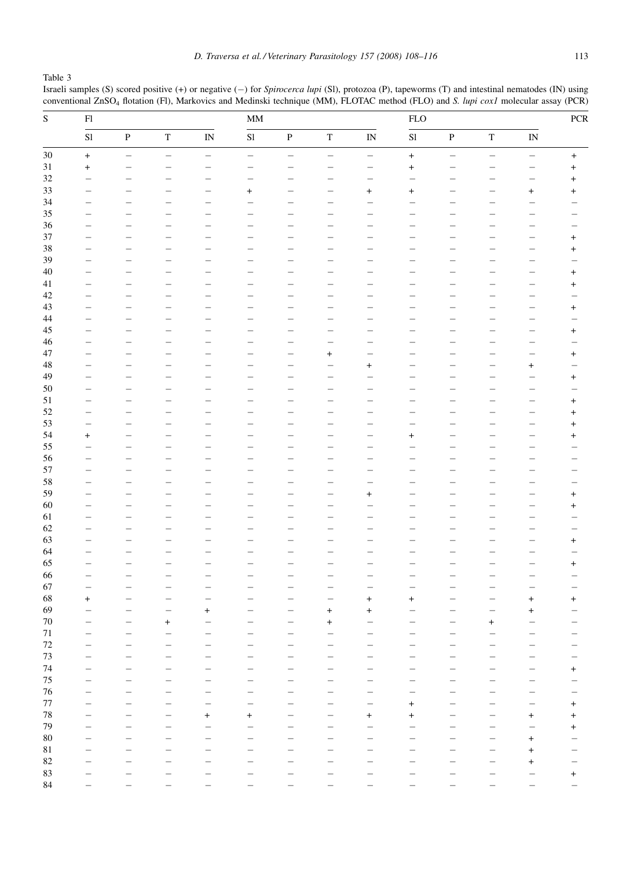<span id="page-5-0"></span>Table 3

Israeli samples (S) scored positive (+) or negative (-) for Spirocerca lupi (SI), protozoa (P), tapeworms (T) and intestinal nematodes (IN) using conventional ZnSO<sub>4</sub> flotation (Fl), Markovics and Medinski technique (MM), FLOTAC method (FLO) and S. lupi cox1 molecular assay (PCR)

| ${\bf S}$   | ${\rm Fl}$ |                          |                          |                          | $\mathbf{M}\mathbf{M}$   |                          |                                  |                                  |           | ${\rm FLO}$              |                          |                          |                  |
|-------------|------------|--------------------------|--------------------------|--------------------------|--------------------------|--------------------------|----------------------------------|----------------------------------|-----------|--------------------------|--------------------------|--------------------------|------------------|
|             | S1         | $\, {\bf P}$             | $\mathbf T$              | $\mathbf{IN}$            | S1                       | $\, {\bf P}$             | $\mathbf T$                      | $\bar{\text{IN}}$                | S1        | $\, {\bf P}$             | $\mathbf T$              | $\mathbf{IN}$            |                  |
| $30\,$      | $\ddot{}$  | $\overline{\phantom{0}}$ | $\qquad \qquad -$        | $\overline{\phantom{m}}$ | $\overline{\phantom{0}}$ | $\overline{\phantom{0}}$ | $\overline{\phantom{0}}$         | $\qquad \qquad -$                | $\ddot{}$ | $\qquad \qquad -$        | $\overline{\phantom{0}}$ | $\qquad \qquad -$        | $\boldsymbol{+}$ |
| $31\,$      | $\ddot{}$  | $\overline{\phantom{0}}$ | $\overline{\phantom{0}}$ | $\overline{\phantom{0}}$ |                          | $\overline{\phantom{0}}$ | $\overline{\phantom{0}}$         | $\equiv$                         | $\ddot{}$ | Ξ.                       |                          | $\overline{\phantom{0}}$ | $\ddot{}$        |
| 32          |            |                          |                          |                          |                          |                          |                                  | $\overline{\phantom{0}}$         |           |                          |                          | -                        | $\ddot{}$        |
| 33          |            |                          |                          |                          | $+$                      |                          |                                  | $+$                              | $^{+}$    |                          |                          | $\ddot{}$                | $\ddot{}$        |
| 34          |            | ÷                        |                          |                          |                          |                          |                                  | $\overline{\phantom{0}}$         |           |                          |                          | $\overline{\phantom{0}}$ |                  |
| 35          |            | $\overline{\phantom{0}}$ |                          |                          |                          |                          |                                  | $\overline{\phantom{0}}$         |           |                          |                          | $\overline{\phantom{0}}$ |                  |
| 36          |            | -                        | -                        |                          |                          |                          |                                  | —                                |           |                          |                          | —                        |                  |
| 37          |            |                          |                          |                          |                          |                          |                                  | ÷,                               |           |                          |                          | $\overline{\phantom{0}}$ | $\overline{+}$   |
| 38          |            | -                        | $\overline{\phantom{0}}$ |                          |                          | $\overline{\phantom{0}}$ | $\overline{\phantom{0}}$         | $\overline{\phantom{0}}$         |           |                          |                          | $\overline{\phantom{0}}$ | $\ddot{}$        |
| 39          |            |                          |                          |                          |                          |                          |                                  |                                  |           |                          |                          |                          |                  |
|             |            | $\overline{\phantom{0}}$ |                          |                          |                          | -                        |                                  | ÷,                               |           |                          |                          | -                        |                  |
| $40\,$      |            | ÷                        |                          |                          |                          |                          |                                  | ÷                                |           |                          |                          | $\overline{\phantom{0}}$ | $\ddot{}$        |
| 41          |            | $\overline{\phantom{0}}$ |                          |                          |                          |                          |                                  | ÷,                               |           |                          |                          | $\overline{\phantom{0}}$ | $\ddot{}$        |
| $42\,$      |            | -                        | -                        |                          |                          |                          | $\overline{\phantom{0}}$         | —                                |           |                          |                          | —                        |                  |
| $43\,$      |            |                          |                          |                          |                          |                          |                                  |                                  |           |                          |                          | —                        | $\ddot{}$        |
| 44          |            | -                        | $\overline{\phantom{0}}$ |                          |                          | $\overline{\phantom{0}}$ | $\overline{\phantom{0}}$         | $\overline{\phantom{0}}$         |           |                          |                          | $\overline{\phantom{0}}$ |                  |
| $45\,$      |            | $\overline{\phantom{0}}$ | $\overline{\phantom{0}}$ |                          |                          | $\overline{\phantom{0}}$ |                                  | $\overline{\phantom{0}}$         | <u>.</u>  | $\overline{\phantom{0}}$ | $\overline{\phantom{0}}$ | $\overline{\phantom{0}}$ | $\ddot{}$        |
| $46\,$      |            | ÷                        |                          |                          |                          |                          | $\overline{\phantom{0}}$         | ÷,                               |           |                          |                          | ÷                        |                  |
| 47          |            | $\overline{\phantom{0}}$ | $\overline{\phantom{0}}$ |                          |                          | $\overline{\phantom{0}}$ | $\begin{array}{c} + \end{array}$ | $\overline{\phantom{0}}$         |           |                          |                          | $\overline{\phantom{0}}$ | $\ddot{}$        |
| $\sqrt{48}$ |            | $\overline{\phantom{0}}$ | $\overline{\phantom{0}}$ |                          |                          | -                        |                                  | $^{+}$                           |           |                          | -                        | $\ddot{}$                |                  |
| 49          |            |                          |                          |                          |                          |                          |                                  | -                                |           |                          |                          | $\overline{\phantom{0}}$ | $\ddot{}$        |
| $50\,$      |            | L,                       |                          |                          |                          |                          |                                  | $\overline{\phantom{0}}$         |           |                          |                          | $\overline{\phantom{0}}$ |                  |
| 51          |            | $\overline{\phantom{0}}$ | $\overline{\phantom{0}}$ |                          |                          | —                        | $\overline{\phantom{0}}$         | $\overline{\phantom{0}}$         |           | -                        |                          | $\overline{\phantom{0}}$ |                  |
| 52          |            |                          |                          |                          |                          |                          |                                  |                                  |           |                          |                          |                          | $\ddot{}$        |
|             |            | L,                       | $\overline{\phantom{0}}$ |                          |                          |                          |                                  | $\overline{\phantom{0}}$         |           |                          |                          | $\overline{\phantom{0}}$ | $\ddot{}$        |
| 53          |            | $\overline{\phantom{0}}$ | $\overline{\phantom{0}}$ |                          |                          | -                        | $\overline{\phantom{0}}$         | $\overline{\phantom{0}}$         |           |                          |                          | $\overline{\phantom{0}}$ | $\ddot{}$        |
| 54          | $^{+}$     | ÷,                       | ÷,                       |                          |                          |                          |                                  | $\overline{\phantom{0}}$         | $\ddot{}$ |                          |                          | $\overline{\phantom{0}}$ | $\ddot{}$        |
| 55          |            | L,                       |                          |                          |                          |                          |                                  | $\overline{\phantom{0}}$         |           |                          |                          | $\overline{\phantom{0}}$ |                  |
| 56          |            | L,                       |                          |                          |                          |                          |                                  | $\overline{\phantom{0}}$         |           |                          |                          | $\overline{\phantom{0}}$ |                  |
| 57          |            |                          |                          |                          |                          |                          |                                  |                                  |           |                          |                          |                          |                  |
| 58          |            | L,                       |                          |                          |                          |                          |                                  |                                  |           |                          |                          | —                        |                  |
| 59          |            | $\overline{\phantom{0}}$ | $\overline{\phantom{0}}$ |                          |                          |                          | $\overline{\phantom{0}}$         | $^{+}$                           |           |                          |                          | $\overline{\phantom{0}}$ | $\ddot{}$        |
| $60\,$      |            | -                        | $\overline{\phantom{0}}$ |                          |                          |                          | $\overline{\phantom{0}}$         |                                  |           |                          |                          | $\overline{\phantom{0}}$ | $\ddot{}$        |
| 61          |            | -                        |                          |                          |                          |                          |                                  | -                                |           |                          |                          | -                        |                  |
| 62          |            | $\overline{\phantom{0}}$ | $\overline{\phantom{0}}$ |                          |                          |                          | L,                               | $\overline{\phantom{0}}$         |           |                          |                          | $\overline{\phantom{0}}$ |                  |
| 63          |            | ÷,                       | $\overline{\phantom{0}}$ | a,                       |                          | $\overline{\phantom{0}}$ | $\overline{\phantom{0}}$         | $\overline{\phantom{0}}$         |           | ÷.                       |                          | $\overline{\phantom{0}}$ | $\ddot{}$        |
| 64          |            |                          |                          |                          |                          |                          |                                  |                                  |           |                          |                          | -                        |                  |
| 65          |            | L,                       |                          |                          |                          |                          |                                  | $\overline{\phantom{0}}$         |           |                          |                          | $\overline{\phantom{0}}$ |                  |
| 66          |            | $\overline{\phantom{0}}$ | $\overline{\phantom{0}}$ |                          |                          |                          |                                  |                                  |           |                          |                          |                          | $\ddot{}$        |
|             |            |                          |                          |                          |                          |                          | $\overline{\phantom{0}}$         | $\overline{\phantom{0}}$         |           |                          |                          | $\overline{\phantom{0}}$ |                  |
| 67          |            |                          |                          |                          |                          |                          |                                  |                                  |           |                          |                          | ÷                        |                  |
| 68          | $\ddot{}$  |                          | $\overline{\phantom{0}}$ |                          |                          |                          |                                  | $\begin{array}{c} + \end{array}$ | $\ddot{}$ |                          | $\overline{\phantom{0}}$ | $\ddot{}$                | $\ddot{}$        |
| 69          |            |                          | $\overline{\phantom{0}}$ | $^{+}$                   |                          |                          | $\begin{array}{c} + \end{array}$ | $\ddot{}$                        |           |                          |                          | $\ddot{}$                |                  |
| $70\,$      |            |                          | $\ddot{}$                |                          |                          |                          | $\ddot{}$                        |                                  |           |                          | $\ddot{}$                |                          |                  |
| $71\,$      |            |                          |                          |                          |                          |                          |                                  |                                  |           |                          |                          |                          |                  |
| 72          |            |                          |                          |                          |                          |                          |                                  |                                  |           |                          |                          |                          |                  |
| $73\,$      |            |                          |                          |                          |                          |                          |                                  | -                                |           |                          |                          |                          |                  |
| 74          |            |                          |                          |                          |                          |                          |                                  |                                  |           |                          |                          |                          | $\pmb{+}$        |
| $75\,$      |            |                          |                          |                          |                          |                          |                                  |                                  |           |                          |                          |                          |                  |
| $76\,$      |            |                          |                          |                          |                          |                          |                                  |                                  |           |                          |                          | ۰                        |                  |
| $77\,$      |            |                          |                          |                          |                          |                          |                                  |                                  | $\ddot{}$ |                          |                          |                          | $\ddot{}$        |
| $78\,$      |            |                          |                          |                          |                          |                          |                                  |                                  |           |                          |                          |                          |                  |
|             |            |                          |                          | $\overline{+}$           | $\pm$                    |                          |                                  | $\pmb{+}$                        | $\ddot{}$ |                          |                          | $\overline{+}$           | $\ddot{}$        |
| 79          |            | ۰                        |                          |                          |                          |                          |                                  |                                  |           |                          |                          |                          | $\ddot{}$        |
| $80\,$      |            |                          |                          |                          |                          |                          |                                  |                                  |           |                          |                          | $\overline{+}$           |                  |
| $8\sqrt{1}$ |            |                          |                          |                          |                          |                          |                                  |                                  |           |                          |                          | $\overline{+}$           |                  |
| $82\,$      |            |                          |                          |                          |                          |                          |                                  |                                  |           |                          |                          | $\ddot{}$                |                  |
| 83          |            |                          |                          |                          |                          |                          |                                  |                                  |           |                          |                          | -                        | $\pmb{+}$        |
| 84          |            |                          |                          |                          |                          |                          |                                  |                                  |           |                          |                          |                          |                  |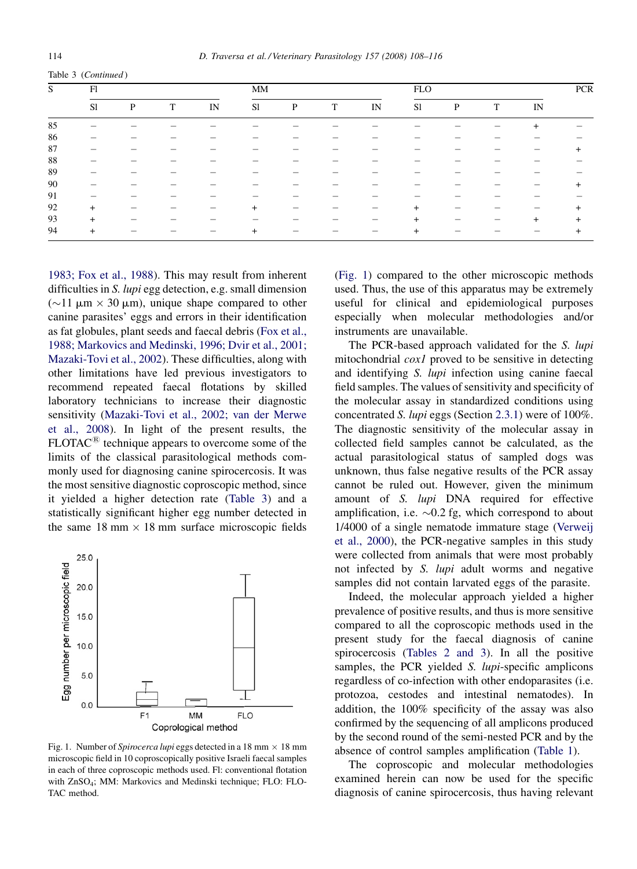<span id="page-6-0"></span>

|  |  | Table 3 (Continued) |
|--|--|---------------------|
|--|--|---------------------|

| S  | F1  |              |   |    | MM        |   |   |    | <b>FLO</b>    |   |   |                | <b>PCR</b> |
|----|-----|--------------|---|----|-----------|---|---|----|---------------|---|---|----------------|------------|
|    | S1  | $\mathbf{P}$ | T | IN | S1        | P | T | IN | <sub>S1</sub> | P | T | IN             |            |
| 85 |     |              |   |    |           |   |   |    |               |   |   | $\overline{+}$ |            |
| 86 |     |              |   |    |           |   |   |    |               |   |   |                |            |
| 87 |     |              |   |    |           |   |   |    |               |   |   |                |            |
| 88 |     |              |   |    |           |   |   |    |               |   |   |                |            |
| 89 | –   |              |   |    |           |   |   |    |               |   |   |                |            |
| 90 |     |              |   |    |           |   |   |    |               |   |   |                | +          |
| 91 | –   |              |   |    |           |   |   |    |               |   |   |                |            |
| 92 | $+$ |              |   |    | $\ddot{}$ |   |   |    | $+$           |   |   | —              | $\ddot{}$  |
| 93 | $+$ |              |   |    |           |   |   |    | $\ddot{}$     |   |   | $+$            | $\pm$      |
| 94 | $+$ |              |   |    | $\ddot{}$ |   |   |    | $+$           |   |   |                | $\pm$      |

[1983; Fox et al., 1988](#page-8-0)). This may result from inherent difficulties in S. lupi egg detection, e.g. small dimension  $(\sim 11 \mu m \times 30 \mu m)$ , unique shape compared to other canine parasites' eggs and errors in their identification as fat globules, plant seeds and faecal debris ([Fox et al.,](#page-8-0) [1988; Markovics and Medinski, 1996; Dvir et al., 2001;](#page-8-0) [Mazaki-Tovi et al., 2002\)](#page-8-0). These difficulties, along with other limitations have led previous investigators to recommend repeated faecal flotations by skilled laboratory technicians to increase their diagnostic sensitivity [\(Mazaki-Tovi et al., 2002; van der Merwe](#page-8-0) [et al., 2008\)](#page-8-0). In light of the present results, the  $FLOTAC^<sup>(B)</sup>$  technique appears to overcome some of the limits of the classical parasitological methods commonly used for diagnosing canine spirocercosis. It was the most sensitive diagnostic coproscopic method, since it yielded a higher detection rate ([Table 3\)](#page-5-0) and a statistically significant higher egg number detected in the same  $18 \text{ mm} \times 18 \text{ mm}$  surface microscopic fields



Fig. 1. Number of Spirocerca lupi eggs detected in a 18 mm  $\times$  18 mm microscopic field in 10 coproscopically positive Israeli faecal samples in each of three coproscopic methods used. Fl: conventional flotation with ZnSO4; MM: Markovics and Medinski technique; FLO: FLO-TAC method.

(Fig. 1) compared to the other microscopic methods used. Thus, the use of this apparatus may be extremely useful for clinical and epidemiological purposes especially when molecular methodologies and/or instruments are unavailable.

The PCR-based approach validated for the S. lupi mitochondrial *cox1* proved to be sensitive in detecting and identifying S. lupi infection using canine faecal field samples. The values of sensitivity and specificity of the molecular assay in standardized conditions using concentrated S. lupi eggs (Section [2.3.1\)](#page-3-0) were of 100%. The diagnostic sensitivity of the molecular assay in collected field samples cannot be calculated, as the actual parasitological status of sampled dogs was unknown, thus false negative results of the PCR assay cannot be ruled out. However, given the minimum amount of S. lupi DNA required for effective amplification, i.e.  $\sim 0.2$  fg, which correspond to about 1/4000 of a single nematode immature stage [\(Verweij](#page-8-0) [et al., 2000\)](#page-8-0), the PCR-negative samples in this study were collected from animals that were most probably not infected by S. *lupi* adult worms and negative samples did not contain larvated eggs of the parasite.

Indeed, the molecular approach yielded a higher prevalence of positive results, and thus is more sensitive compared to all the coproscopic methods used in the present study for the faecal diagnosis of canine spirocercosis ([Tables 2 and 3\)](#page-4-0). In all the positive samples, the PCR yielded S. lupi-specific amplicons regardless of co-infection with other endoparasites (i.e. protozoa, cestodes and intestinal nematodes). In addition, the 100% specificity of the assay was also confirmed by the sequencing of all amplicons produced by the second round of the semi-nested PCR and by the absence of control samples amplification ([Table 1](#page-3-0)).

The coproscopic and molecular methodologies examined herein can now be used for the specific diagnosis of canine spirocercosis, thus having relevant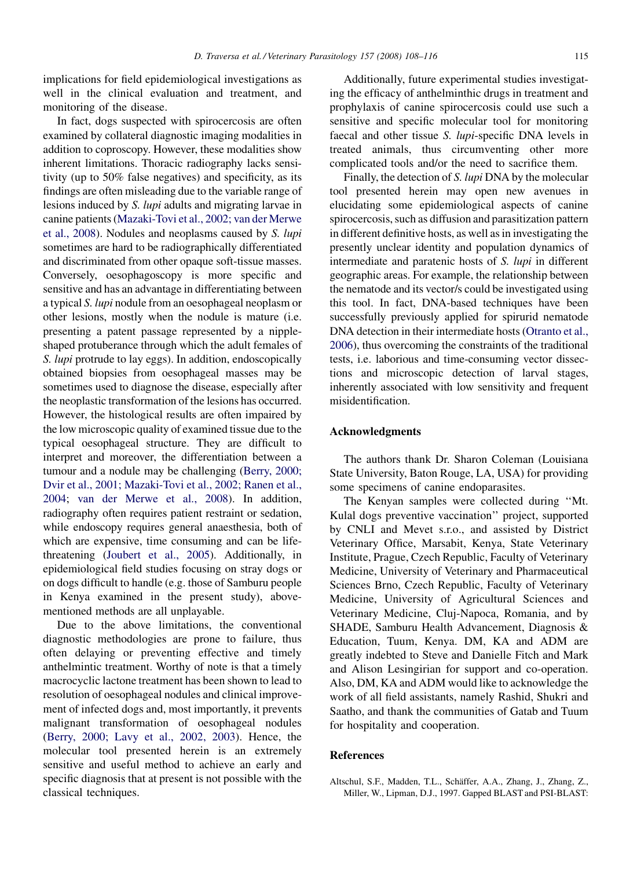<span id="page-7-0"></span>implications for field epidemiological investigations as well in the clinical evaluation and treatment, and monitoring of the disease.

In fact, dogs suspected with spirocercosis are often examined by collateral diagnostic imaging modalities in addition to coproscopy. However, these modalities show inherent limitations. Thoracic radiography lacks sensitivity (up to 50% false negatives) and specificity, as its findings are often misleading due to the variable range of lesions induced by S. lupi adults and migrating larvae in canine patients [\(Mazaki-Tovi et al., 2002; van der Merwe](#page-8-0) [et al., 2008](#page-8-0)). Nodules and neoplasms caused by S. lupi sometimes are hard to be radiographically differentiated and discriminated from other opaque soft-tissue masses. Conversely, oesophagoscopy is more specific and sensitive and has an advantage in differentiating between a typical S. lupi nodule from an oesophageal neoplasm or other lesions, mostly when the nodule is mature (i.e. presenting a patent passage represented by a nippleshaped protuberance through which the adult females of S. lupi protrude to lay eggs). In addition, endoscopically obtained biopsies from oesophageal masses may be sometimes used to diagnose the disease, especially after the neoplastic transformation of the lesions has occurred. However, the histological results are often impaired by the low microscopic quality of examined tissue due to the typical oesophageal structure. They are difficult to interpret and moreover, the differentiation between a tumour and a nodule may be challenging [\(Berry, 2000;](#page-8-0) [Dvir et al., 2001; Mazaki-Tovi et al., 2002; Ranen et al.,](#page-8-0) [2004;](#page-8-0) [van der Merwe et al., 2008](#page-8-0)). In addition, radiography often requires patient restraint or sedation, while endoscopy requires general anaesthesia, both of which are expensive, time consuming and can be lifethreatening [\(Joubert et al., 2005](#page-8-0)). Additionally, in epidemiological field studies focusing on stray dogs or on dogs difficult to handle (e.g. those of Samburu people in Kenya examined in the present study), abovementioned methods are all unplayable.

Due to the above limitations, the conventional diagnostic methodologies are prone to failure, thus often delaying or preventing effective and timely anthelmintic treatment. Worthy of note is that a timely macrocyclic lactone treatment has been shown to lead to resolution of oesophageal nodules and clinical improvement of infected dogs and, most importantly, it prevents malignant transformation of oesophageal nodules [\(Berry, 2000; Lavy et al., 2002, 2003](#page-8-0)). Hence, the molecular tool presented herein is an extremely sensitive and useful method to achieve an early and specific diagnosis that at present is not possible with the classical techniques.

Additionally, future experimental studies investigating the efficacy of anthelminthic drugs in treatment and prophylaxis of canine spirocercosis could use such a sensitive and specific molecular tool for monitoring faecal and other tissue S. lupi-specific DNA levels in treated animals, thus circumventing other more complicated tools and/or the need to sacrifice them.

Finally, the detection of S. lupi DNA by the molecular tool presented herein may open new avenues in elucidating some epidemiological aspects of canine spirocercosis, such as diffusion and parasitization pattern in different definitive hosts, as well as in investigating the presently unclear identity and population dynamics of intermediate and paratenic hosts of S. lupi in different geographic areas. For example, the relationship between the nematode and its vector/s could be investigated using this tool. In fact, DNA-based techniques have been successfully previously applied for spirurid nematode DNA detection in their intermediate hosts ([Otranto et al.,](#page-8-0) [2006\)](#page-8-0), thus overcoming the constraints of the traditional tests, i.e. laborious and time-consuming vector dissections and microscopic detection of larval stages, inherently associated with low sensitivity and frequent misidentification.

#### Acknowledgments

The authors thank Dr. Sharon Coleman (Louisiana State University, Baton Rouge, LA, USA) for providing some specimens of canine endoparasites.

The Kenyan samples were collected during ''Mt. Kulal dogs preventive vaccination'' project, supported by CNLI and Mevet s.r.o., and assisted by District Veterinary Office, Marsabit, Kenya, State Veterinary Institute, Prague, Czech Republic, Faculty of Veterinary Medicine, University of Veterinary and Pharmaceutical Sciences Brno, Czech Republic, Faculty of Veterinary Medicine, University of Agricultural Sciences and Veterinary Medicine, Cluj-Napoca, Romania, and by SHADE, Samburu Health Advancement, Diagnosis & Education, Tuum, Kenya. DM, KA and ADM are greatly indebted to Steve and Danielle Fitch and Mark and Alison Lesingirian for support and co-operation. Also, DM, KA and ADM would like to acknowledge the work of all field assistants, namely Rashid, Shukri and Saatho, and thank the communities of Gatab and Tuum for hospitality and cooperation.

#### References

Altschul, S.F., Madden, T.L., Schäffer, A.A., Zhang, J., Zhang, Z., Miller, W., Lipman, D.J., 1997. Gapped BLAST and PSI-BLAST: